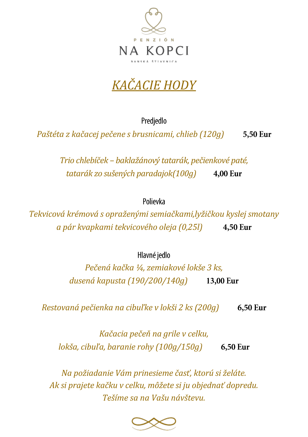

## *KAČACIE HODY*

Predjedlo

*Paštéta z kačacej pečene s brusnicami, chlieb (120g)*  5,50 Eur

> *Trio chlebíček – baklažánový tatarák, pečienkové paté, tatarák zo sušených paradajok(100g)*  4,00 Eur

> > Polievka

*Tekvicová krémová s opraženými semiačkami,lyžičkou kyslej smotany a pár kvapkami tekvicového oleja (0,25l)*  4,50 Eur

Hlavné jedlo

*Pečená kačka ¼, zemiakové lokše 3 ks, dusená kapusta (190/200/140g)*  13,00 Eur

6,50 Eur *Restovaná pečienka na cibuľke v lokši 2 ks (200g)* 

*Kačacia pečeň na grile v celku, lokša, cibuľa, baranie rohy (100g/150g)*  6,50 Eur

*Na požiadanie Vám prinesieme časť, ktorú si želáte. Ak si prajete kačku v celku, môžete si ju objednať dopredu. Tešíme sa na Vašu návštevu.*

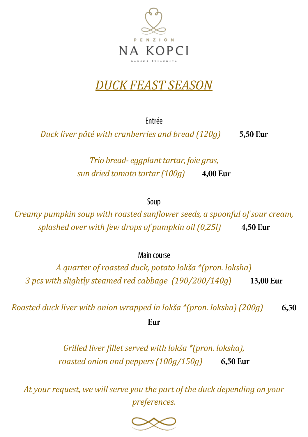

## *DUCK FEAST SEASON*

Fntrée

*Duck liver pâté with cranberries and bread (120g)*  5,50 Eur

> *Trio bread- eggplant tartar, foie gras, sun dried tomato tartar (100g)*  **4.00 Eur**

> > Soup

*Creamy pumpkin soup with roasted sunflower seeds, a spoonful of sour cream, splashed over with few drops of pumpkin oil (0,25l)*  4,50 Eur

Main course

*A quarter of roasted duck, potato lokša \*(pron. loksha) 3 pcs with slightly steamed red cabbage (190/200/140g)*  13,00 Eur

*Roasted duck liver with onion wrapped in lokša \*(pron. loksha) (200g)*  6,50

Fur

*Grilled liver fillet served with lokša \*(pron. loksha), roasted onion and peppers (100g/150g)* 

*At your request, we will serve you the part of the duck depending on your preferences.*